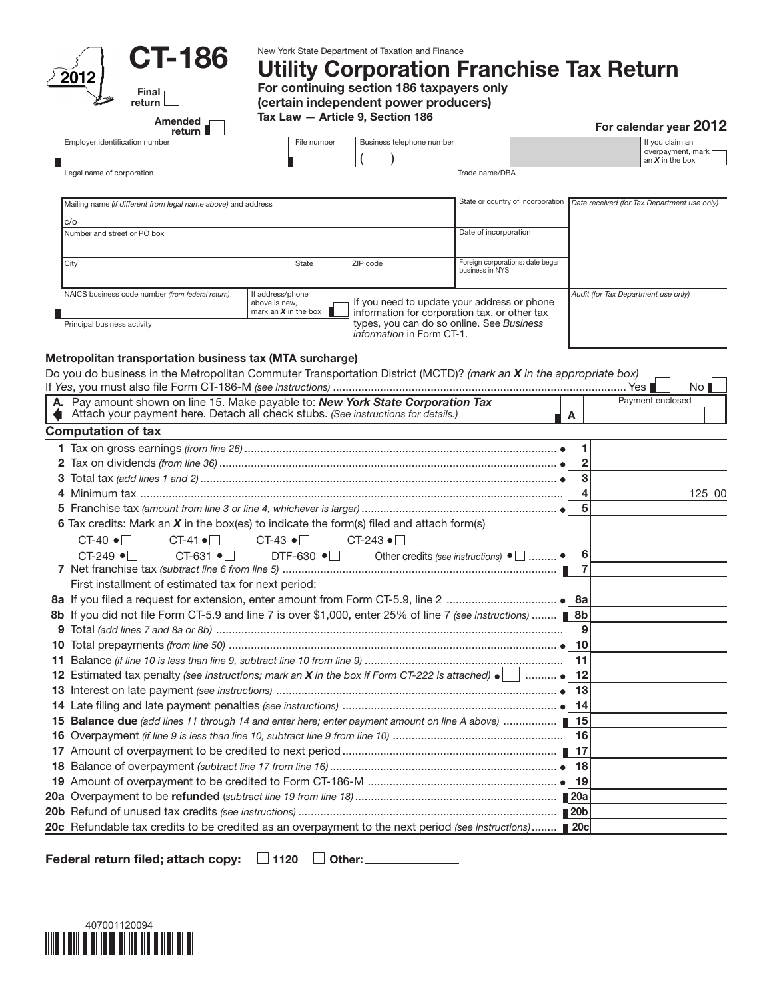

CT-186

Amended <sub>1</sub>

Final return New York State Department of Taxation and Finance

## $\mathcal{L}_{\text{2012}}$  U I TOO Utility Corporation Franchise Tax Return

**For continuing section 186 taxpayers only** For continuing section 186 taxpayers only (certain independent power producers)

| Tax Law — Article 9, Section 186 |  |
|----------------------------------|--|
|----------------------------------|--|

For calendar year 2012

| return ■                                                                                                                                                             |                                         |                                                                                              |                                             |                                  |                                     | Fur calendar year ∠∪ i∠ |                     |  |
|----------------------------------------------------------------------------------------------------------------------------------------------------------------------|-----------------------------------------|----------------------------------------------------------------------------------------------|---------------------------------------------|----------------------------------|-------------------------------------|-------------------------|---------------------|--|
| Employer identification number                                                                                                                                       | File number                             | Business telephone number                                                                    |                                             |                                  |                                     | If you claim an         | overpayment, mark p |  |
| Legal name of corporation                                                                                                                                            |                                         |                                                                                              | Trade name/DBA                              |                                  |                                     | an $X$ in the box       |                     |  |
|                                                                                                                                                                      |                                         |                                                                                              |                                             |                                  |                                     |                         |                     |  |
| Mailing name (if different from legal name above) and address                                                                                                        |                                         | State or country of incorporation                                                            | Date received (for Tax Department use only) |                                  |                                     |                         |                     |  |
| c/o                                                                                                                                                                  |                                         |                                                                                              |                                             |                                  |                                     |                         |                     |  |
| Number and street or PO box                                                                                                                                          |                                         |                                                                                              | Date of incorporation                       |                                  |                                     |                         |                     |  |
| City                                                                                                                                                                 | State                                   | ZIP code                                                                                     | business in NYS                             | Foreign corporations: date began |                                     |                         |                     |  |
| NAICS business code number (from federal return)                                                                                                                     | If address/phone                        |                                                                                              |                                             |                                  | Audit (for Tax Department use only) |                         |                     |  |
|                                                                                                                                                                      | above is new,<br>mark an $X$ in the box | If you need to update your address or phone<br>information for corporation tax, or other tax |                                             |                                  |                                     |                         |                     |  |
| Principal business activity                                                                                                                                          |                                         | types, you can do so online. See Business                                                    |                                             |                                  |                                     |                         |                     |  |
|                                                                                                                                                                      |                                         | information in Form CT-1.                                                                    |                                             |                                  |                                     |                         |                     |  |
| Metropolitan transportation business tax (MTA surcharge)                                                                                                             |                                         |                                                                                              |                                             |                                  |                                     |                         |                     |  |
| Do you do business in the Metropolitan Commuter Transportation District (MCTD)? (mark an X in the appropriate box)                                                   |                                         |                                                                                              |                                             |                                  |                                     |                         |                     |  |
|                                                                                                                                                                      |                                         |                                                                                              |                                             |                                  |                                     |                         | No <sub>l</sub>     |  |
| A. Pay amount shown on line 15. Make payable to: New York State Corporation Tax<br>Attach your payment here. Detach all check stubs. (See instructions for details.) |                                         |                                                                                              |                                             |                                  |                                     | Payment enclosed        |                     |  |
| <b>Computation of tax</b>                                                                                                                                            |                                         |                                                                                              |                                             |                                  | A                                   |                         |                     |  |
|                                                                                                                                                                      |                                         |                                                                                              |                                             |                                  | 1                                   |                         |                     |  |
|                                                                                                                                                                      |                                         |                                                                                              |                                             |                                  | $\mathbf{2}$                        |                         |                     |  |
|                                                                                                                                                                      |                                         |                                                                                              |                                             |                                  | 3                                   |                         |                     |  |
|                                                                                                                                                                      |                                         |                                                                                              |                                             |                                  | 4                                   |                         | 125 00              |  |
|                                                                                                                                                                      |                                         |                                                                                              |                                             |                                  | 5                                   |                         |                     |  |
|                                                                                                                                                                      |                                         |                                                                                              |                                             |                                  |                                     |                         |                     |  |
| <b>6</b> Tax credits: Mark an $X$ in the box(es) to indicate the form(s) filed and attach form(s)                                                                    |                                         |                                                                                              |                                             |                                  |                                     |                         |                     |  |
| $CT-40$ $\bullet$ $\Box$<br>$CT-41 \bullet$                                                                                                                          | CT-43 $\bullet$ $\Box$                  | $CT-243 \bullet$                                                                             |                                             |                                  |                                     |                         |                     |  |
| $CT-631$ $\bullet$ $\Box$<br>$CT-249$ $\bullet$ $\Box$                                                                                                               |                                         | DTF-630 $\bullet$ $\Box$ Other credits (see instructions) $\bullet$ $\Box$ $\bullet$         |                                             |                                  | 6<br>$\overline{7}$                 |                         |                     |  |
|                                                                                                                                                                      |                                         |                                                                                              |                                             |                                  |                                     |                         |                     |  |
| First installment of estimated tax for next period:                                                                                                                  |                                         |                                                                                              |                                             |                                  |                                     |                         |                     |  |
|                                                                                                                                                                      |                                         |                                                                                              |                                             |                                  |                                     |                         |                     |  |
| 8b If you did not file Form CT-5.9 and line 7 is over \$1,000, enter 25% of line 7 (see instructions)                                                                |                                         |                                                                                              |                                             |                                  | 9                                   |                         |                     |  |
|                                                                                                                                                                      |                                         |                                                                                              |                                             |                                  |                                     |                         |                     |  |
|                                                                                                                                                                      |                                         |                                                                                              |                                             |                                  |                                     |                         |                     |  |
| <b>12</b> Estimated tax penalty (see instructions; mark an <b>X</b> in the box if Form CT-222 is attached) $\bullet$ $\Box$                                          |                                         |                                                                                              |                                             |                                  |                                     |                         |                     |  |
|                                                                                                                                                                      |                                         |                                                                                              |                                             |                                  | 12<br>13                            |                         |                     |  |
|                                                                                                                                                                      |                                         |                                                                                              |                                             |                                  |                                     |                         |                     |  |
|                                                                                                                                                                      |                                         |                                                                                              |                                             |                                  |                                     |                         |                     |  |
| 15 Balance due (add lines 11 through 14 and enter here; enter payment amount on line A above)  15                                                                    |                                         |                                                                                              |                                             |                                  |                                     |                         |                     |  |
|                                                                                                                                                                      |                                         |                                                                                              |                                             |                                  |                                     |                         |                     |  |
| 17                                                                                                                                                                   |                                         |                                                                                              |                                             |                                  |                                     |                         |                     |  |
| 18                                                                                                                                                                   |                                         |                                                                                              |                                             |                                  | 18<br>-19                           |                         |                     |  |
|                                                                                                                                                                      |                                         |                                                                                              |                                             |                                  | 20a                                 |                         |                     |  |
|                                                                                                                                                                      |                                         |                                                                                              |                                             |                                  | 20 <sub>b</sub>                     |                         |                     |  |
| 20c Refundable tax credits to be credited as an overpayment to the next period (see instructions)                                                                    |                                         |                                                                                              |                                             |                                  |                                     |                         |                     |  |
|                                                                                                                                                                      |                                         |                                                                                              |                                             |                                  | <b>20c</b>                          |                         |                     |  |

Federal return filed; attach copy:  $\Box$  1120  $\Box$  Other: